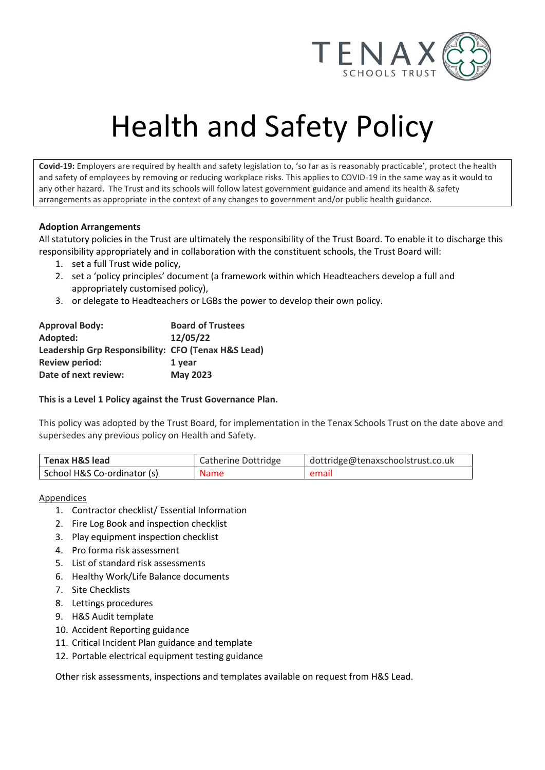

# Health and Safety Policy

**Covid-19:** Employers are required by health and safety legislation to, 'so far as is reasonably practicable', protect the health and safety of employees by removing or reducing workplace risks. This applies to COVID-19 in the same way as it would to any other hazard. The Trust and its schools will follow latest government guidance and amend its health & safety arrangements as appropriate in the context of any changes to government and/or public health guidance.

## **Adoption Arrangements**

All statutory policies in the Trust are ultimately the responsibility of the Trust Board. To enable it to discharge this responsibility appropriately and in collaboration with the constituent schools, the Trust Board will:

- 1. set a full Trust wide policy,
- 2. set a 'policy principles' document (a framework within which Headteachers develop a full and appropriately customised policy),
- 3. or delegate to Headteachers or LGBs the power to develop their own policy.

| <b>Approval Body:</b>                               | <b>Board of Trustees</b> |
|-----------------------------------------------------|--------------------------|
| Adopted:                                            | 12/05/22                 |
| Leadership Grp Responsibility: CFO (Tenax H&S Lead) |                          |
| <b>Review period:</b>                               | 1 year                   |
| Date of next review:                                | <b>May 2023</b>          |

## **This is a Level 1 Policy against the Trust Governance Plan.**

This policy was adopted by the Trust Board, for implementation in the Tenax Schools Trust on the date above and supersedes any previous policy on Health and Safety.

| <b>Tenax H&amp;S lead</b>   | Catherine Dottridge | dottridge@tenaxschoolstrust.co.uk |
|-----------------------------|---------------------|-----------------------------------|
| School H&S Co-ordinator (s) | <b>Name</b>         | email                             |

# **Appendices**

- 1. Contractor checklist/ Essential Information
- 2. Fire Log Book and inspection checklist
- 3. Play equipment inspection checklist
- 4. Pro forma risk assessment
- 5. List of standard risk assessments
- 6. Healthy Work/Life Balance documents
- 7. Site Checklists
- 8. Lettings procedures
- 9. H&S Audit template
- 10. Accident Reporting guidance
- 11. Critical Incident Plan guidance and template
- 12. Portable electrical equipment testing guidance

Other risk assessments, inspections and templates available on request from H&S Lead.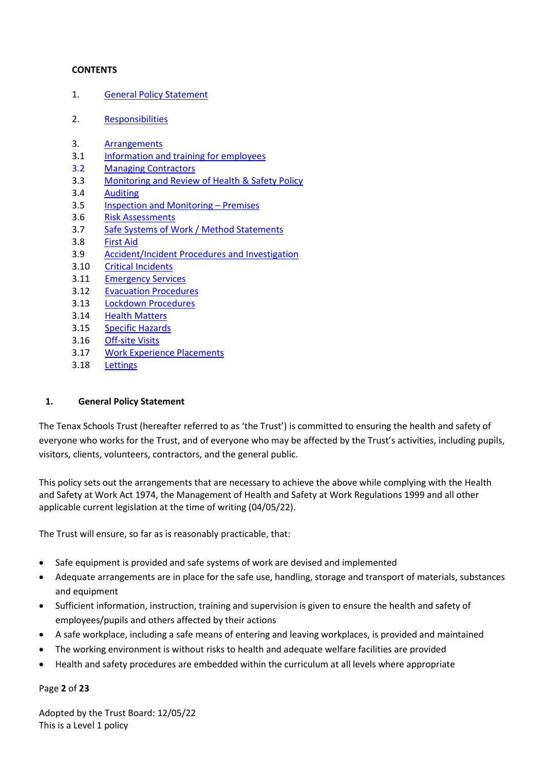## **CONTENTS**

- 1. [General Policy Statement](#page-1-0)
- 2. [Responsibilities](#page-2-0)
- 3. [Arrangements](#page-9-0)
- 3.1 [Information and training for employees](#page-9-1)
- 3.2 [Managing Contractors](#page-10-0)
- 3.3 [Monitoring and Review of Health & Safety Policy](#page-11-0)
- 3.4 [Auditing](#page-11-1)
- 3.5 [Inspection and Monitoring](#page-12-0)  Premises
- 3.6 [Risk Assessments](#page-12-1)
- 3.7 [Safe Systems of Work / Method Statements](#page-13-0)
- 3.8 [First Aid](#page-13-1)
- 3.9 [Accident/Incident Procedures and Investigation](#page-14-0)
- 3.10 [Critical Incidents](#page-15-0)
- 3.11 [Emergency Services](#page-15-1)
- 3.12 [Evacuation Procedures](#page-15-2)
- 3.13 Lockdown [Procedures](#page-15-3)
- 3.14 [Health Matters](#page-16-0)
- 3.15 [Specific Hazards](#page-18-0)
- 3.16 [Off-site Visits](#page-22-0)
- 3.17 [Work Experience Placements](#page-22-1)
- 3.18 [Lettings](#page-22-2)

## <span id="page-1-0"></span>**1. General Policy Statement**

The Tenax Schools Trust (hereafter referred to as 'the Trust') is committed to ensuring the health and safety of everyone who works for the Trust, and of everyone who may be affected by the Trust's activities, including pupils, visitors, clients, volunteers, contractors, and the general public.

This policy sets out the arrangements that are necessary to achieve the above while complying with the Health and Safety at Work Act 1974, the Management of Health and Safety at Work Regulations 1999 and all other applicable current legislation at the time of writing (04/05/22).

The Trust will ensure, so far as is reasonably practicable, that:

- Safe equipment is provided and safe systems of work are devised and implemented
- Adequate arrangements are in place for the safe use, handling, storage and transport of materials, substances and equipment
- Sufficient information, instruction, training and supervision is given to ensure the health and safety of employees/pupils and others affected by their actions
- A safe workplace, including a safe means of entering and leaving workplaces, is provided and maintained
- The working environment is without risks to health and adequate welfare facilities are provided
- Health and safety procedures are embedded within the curriculum at all levels where appropriate

Page **2** of **23**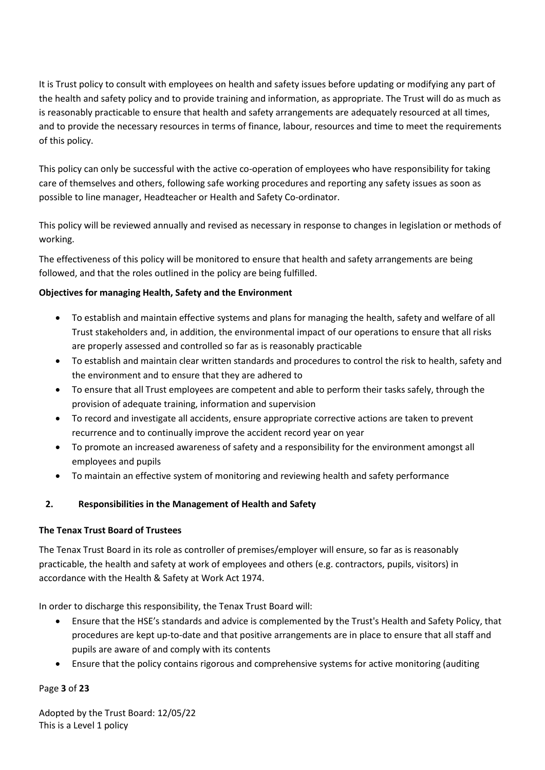It is Trust policy to consult with employees on health and safety issues before updating or modifying any part of the health and safety policy and to provide training and information, as appropriate. The Trust will do as much as is reasonably practicable to ensure that health and safety arrangements are adequately resourced at all times, and to provide the necessary resources in terms of finance, labour, resources and time to meet the requirements of this policy.

This policy can only be successful with the active co-operation of employees who have responsibility for taking care of themselves and others, following safe working procedures and reporting any safety issues as soon as possible to line manager, Headteacher or Health and Safety Co-ordinator.

This policy will be reviewed annually and revised as necessary in response to changes in legislation or methods of working.

The effectiveness of this policy will be monitored to ensure that health and safety arrangements are being followed, and that the roles outlined in the policy are being fulfilled.

# **Objectives for managing Health, Safety and the Environment**

- To establish and maintain effective systems and plans for managing the health, safety and welfare of all Trust stakeholders and, in addition, the environmental impact of our operations to ensure that all risks are properly assessed and controlled so far as is reasonably practicable
- To establish and maintain clear written standards and procedures to control the risk to health, safety and the environment and to ensure that they are adhered to
- To ensure that all Trust employees are competent and able to perform their tasks safely, through the provision of adequate training, information and supervision
- To record and investigate all accidents, ensure appropriate corrective actions are taken to prevent recurrence and to continually improve the accident record year on year
- To promote an increased awareness of safety and a responsibility for the environment amongst all employees and pupils
- To maintain an effective system of monitoring and reviewing health and safety performance

# <span id="page-2-0"></span>**2. Responsibilities in the Management of Health and Safety**

# **The Tenax Trust Board of Trustees**

The Tenax Trust Board in its role as controller of premises/employer will ensure, so far as is reasonably practicable, the health and safety at work of employees and others (e.g. contractors, pupils, visitors) in accordance with the Health & Safety at Work Act 1974.

In order to discharge this responsibility, the Tenax Trust Board will:

- Ensure that the HSE's standards and advice is complemented by the Trust's Health and Safety Policy, that procedures are kept up-to-date and that positive arrangements are in place to ensure that all staff and pupils are aware of and comply with its contents
- Ensure that the policy contains rigorous and comprehensive systems for active monitoring (auditing

# Page **3** of **23**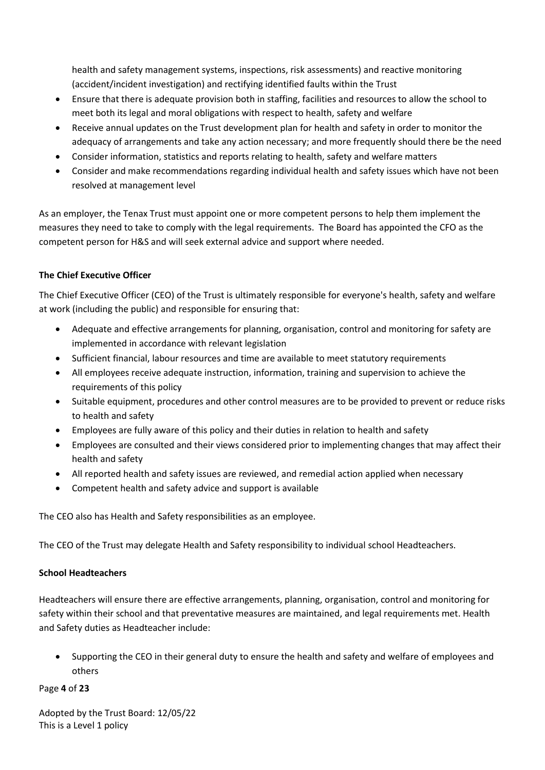health and safety management systems, inspections, risk assessments) and reactive monitoring (accident/incident investigation) and rectifying identified faults within the Trust

- Ensure that there is adequate provision both in staffing, facilities and resources to allow the school to meet both its legal and moral obligations with respect to health, safety and welfare
- Receive annual updates on the Trust development plan for health and safety in order to monitor the adequacy of arrangements and take any action necessary; and more frequently should there be the need
- Consider information, statistics and reports relating to health, safety and welfare matters
- Consider and make recommendations regarding individual health and safety issues which have not been resolved at management level

As an employer, the Tenax Trust must appoint one or more competent persons to help them implement the measures they need to take to comply with the legal requirements. The Board has appointed the CFO as the competent person for H&S and will seek external advice and support where needed.

# **The Chief Executive Officer**

The Chief Executive Officer (CEO) of the Trust is ultimately responsible for everyone's health, safety and welfare at work (including the public) and responsible for ensuring that:

- Adequate and effective arrangements for planning, organisation, control and monitoring for safety are implemented in accordance with relevant legislation
- Sufficient financial, labour resources and time are available to meet statutory requirements
- All employees receive adequate instruction, information, training and supervision to achieve the requirements of this policy
- Suitable equipment, procedures and other control measures are to be provided to prevent or reduce risks to health and safety
- Employees are fully aware of this policy and their duties in relation to health and safety
- Employees are consulted and their views considered prior to implementing changes that may affect their health and safety
- All reported health and safety issues are reviewed, and remedial action applied when necessary
- Competent health and safety advice and support is available

The CEO also has Health and Safety responsibilities as an employee.

The CEO of the Trust may delegate Health and Safety responsibility to individual school Headteachers.

# **School Headteachers**

Headteachers will ensure there are effective arrangements, planning, organisation, control and monitoring for safety within their school and that preventative measures are maintained, and legal requirements met. Health and Safety duties as Headteacher include:

• Supporting the CEO in their general duty to ensure the health and safety and welfare of employees and others

Page **4** of **23**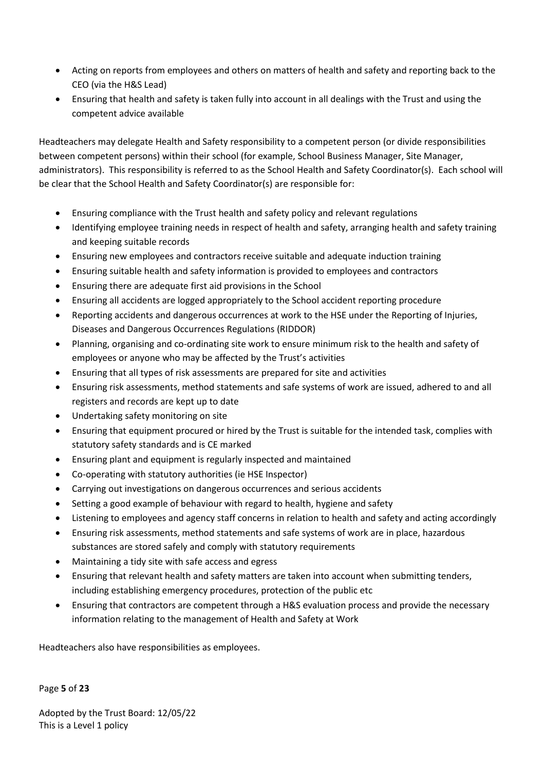- Acting on reports from employees and others on matters of health and safety and reporting back to the CEO (via the H&S Lead)
- Ensuring that health and safety is taken fully into account in all dealings with the Trust and using the competent advice available

Headteachers may delegate Health and Safety responsibility to a competent person (or divide responsibilities between competent persons) within their school (for example, School Business Manager, Site Manager, administrators). This responsibility is referred to as the School Health and Safety Coordinator(s). Each school will be clear that the School Health and Safety Coordinator(s) are responsible for:

- Ensuring compliance with the Trust health and safety policy and relevant regulations
- Identifying employee training needs in respect of health and safety, arranging health and safety training and keeping suitable records
- Ensuring new employees and contractors receive suitable and adequate induction training
- Ensuring suitable health and safety information is provided to employees and contractors
- Ensuring there are adequate first aid provisions in the School
- Ensuring all accidents are logged appropriately to the School accident reporting procedure
- Reporting accidents and dangerous occurrences at work to the HSE under the Reporting of Injuries, Diseases and Dangerous Occurrences Regulations (RIDDOR)
- Planning, organising and co-ordinating site work to ensure minimum risk to the health and safety of employees or anyone who may be affected by the Trust's activities
- Ensuring that all types of risk assessments are prepared for site and activities
- Ensuring risk assessments, method statements and safe systems of work are issued, adhered to and all registers and records are kept up to date
- Undertaking safety monitoring on site
- Ensuring that equipment procured or hired by the Trust is suitable for the intended task, complies with statutory safety standards and is CE marked
- Ensuring plant and equipment is regularly inspected and maintained
- Co-operating with statutory authorities (ie HSE Inspector)
- Carrying out investigations on dangerous occurrences and serious accidents
- Setting a good example of behaviour with regard to health, hygiene and safety
- Listening to employees and agency staff concerns in relation to health and safety and acting accordingly
- Ensuring risk assessments, method statements and safe systems of work are in place, hazardous substances are stored safely and comply with statutory requirements
- Maintaining a tidy site with safe access and egress
- Ensuring that relevant health and safety matters are taken into account when submitting tenders, including establishing emergency procedures, protection of the public etc
- Ensuring that contractors are competent through a H&S evaluation process and provide the necessary information relating to the management of Health and Safety at Work

Headteachers also have responsibilities as employees.

Page **5** of **23**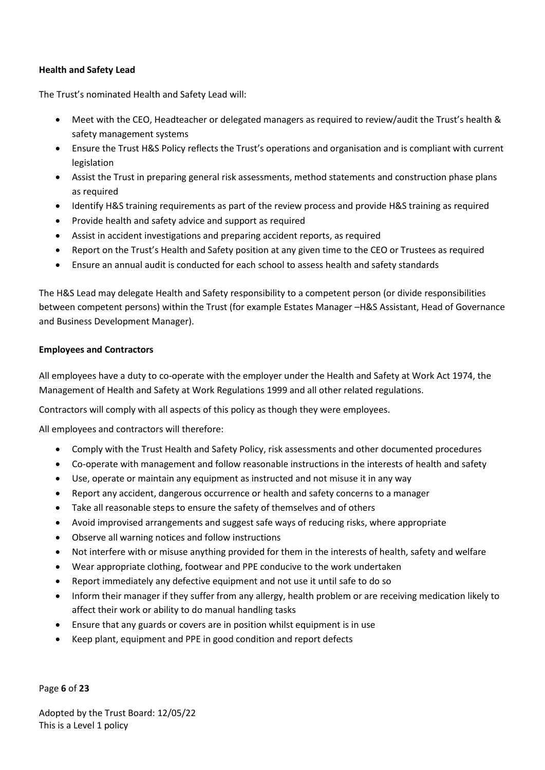## **Health and Safety Lead**

The Trust's nominated Health and Safety Lead will:

- Meet with the CEO, Headteacher or delegated managers as required to review/audit the Trust's health & safety management systems
- Ensure the Trust H&S Policy reflects the Trust's operations and organisation and is compliant with current legislation
- Assist the Trust in preparing general risk assessments, method statements and construction phase plans as required
- Identify H&S training requirements as part of the review process and provide H&S training as required
- Provide health and safety advice and support as required
- Assist in accident investigations and preparing accident reports, as required
- Report on the Trust's Health and Safety position at any given time to the CEO or Trustees as required
- Ensure an annual audit is conducted for each school to assess health and safety standards

The H&S Lead may delegate Health and Safety responsibility to a competent person (or divide responsibilities between competent persons) within the Trust (for example Estates Manager –H&S Assistant, Head of Governance and Business Development Manager).

## **Employees and Contractors**

All employees have a duty to co-operate with the employer under the Health and Safety at Work Act 1974, the Management of Health and Safety at Work Regulations 1999 and all other related regulations.

Contractors will comply with all aspects of this policy as though they were employees.

All employees and contractors will therefore:

- Comply with the Trust Health and Safety Policy, risk assessments and other documented procedures
- Co-operate with management and follow reasonable instructions in the interests of health and safety
- Use, operate or maintain any equipment as instructed and not misuse it in any way
- Report any accident, dangerous occurrence or health and safety concerns to a manager
- Take all reasonable steps to ensure the safety of themselves and of others
- Avoid improvised arrangements and suggest safe ways of reducing risks, where appropriate
- Observe all warning notices and follow instructions
- Not interfere with or misuse anything provided for them in the interests of health, safety and welfare
- Wear appropriate clothing, footwear and PPE conducive to the work undertaken
- Report immediately any defective equipment and not use it until safe to do so
- Inform their manager if they suffer from any allergy, health problem or are receiving medication likely to affect their work or ability to do manual handling tasks
- Ensure that any guards or covers are in position whilst equipment is in use
- Keep plant, equipment and PPE in good condition and report defects

Page **6** of **23**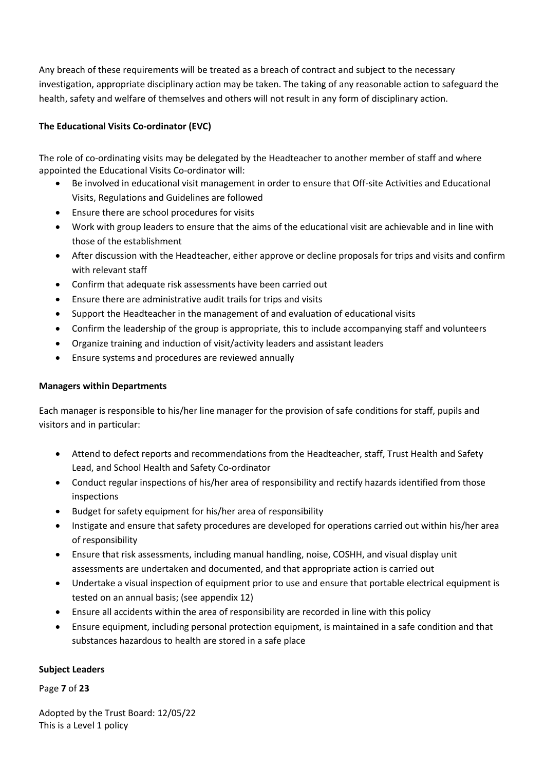Any breach of these requirements will be treated as a breach of contract and subject to the necessary investigation, appropriate disciplinary action may be taken. The taking of any reasonable action to safeguard the health, safety and welfare of themselves and others will not result in any form of disciplinary action.

# **The Educational Visits Co-ordinator (EVC)**

The role of co-ordinating visits may be delegated by the Headteacher to another member of staff and where appointed the Educational Visits Co-ordinator will:

- Be involved in educational visit management in order to ensure that Off-site Activities and Educational Visits, Regulations and Guidelines are followed
- Ensure there are school procedures for visits
- Work with group leaders to ensure that the aims of the educational visit are achievable and in line with those of the establishment
- After discussion with the Headteacher, either approve or decline proposals for trips and visits and confirm with relevant staff
- Confirm that adequate risk assessments have been carried out
- Ensure there are administrative audit trails for trips and visits
- Support the Headteacher in the management of and evaluation of educational visits
- Confirm the leadership of the group is appropriate, this to include accompanying staff and volunteers
- Organize training and induction of visit/activity leaders and assistant leaders
- Ensure systems and procedures are reviewed annually

# **Managers within Departments**

Each manager is responsible to his/her line manager for the provision of safe conditions for staff, pupils and visitors and in particular:

- Attend to defect reports and recommendations from the Headteacher, staff, Trust Health and Safety Lead, and School Health and Safety Co-ordinator
- Conduct regular inspections of his/her area of responsibility and rectify hazards identified from those inspections
- Budget for safety equipment for his/her area of responsibility
- Instigate and ensure that safety procedures are developed for operations carried out within his/her area of responsibility
- Ensure that risk assessments, including manual handling, noise, COSHH, and visual display unit assessments are undertaken and documented, and that appropriate action is carried out
- Undertake a visual inspection of equipment prior to use and ensure that portable electrical equipment is tested on an annual basis; (see appendix 12)
- Ensure all accidents within the area of responsibility are recorded in line with this policy
- Ensure equipment, including personal protection equipment, is maintained in a safe condition and that substances hazardous to health are stored in a safe place

# **Subject Leaders**

Page **7** of **23**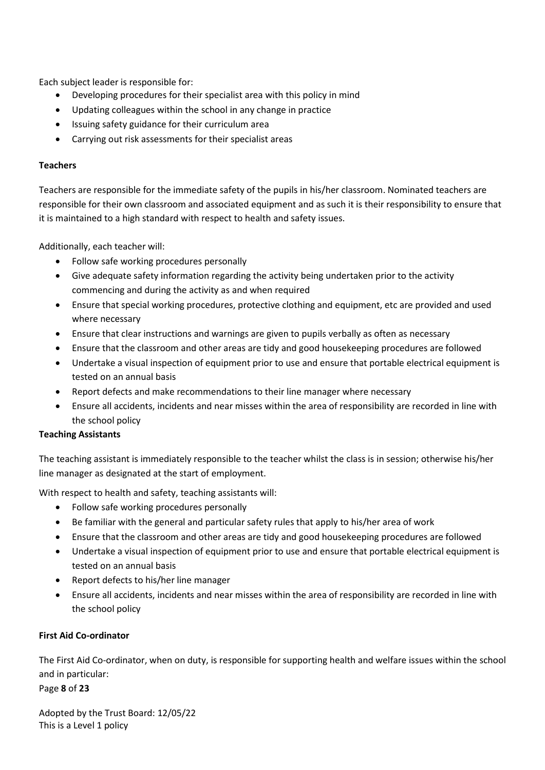Each subject leader is responsible for:

- Developing procedures for their specialist area with this policy in mind
- Updating colleagues within the school in any change in practice
- Issuing safety guidance for their curriculum area
- Carrying out risk assessments for their specialist areas

## **Teachers**

Teachers are responsible for the immediate safety of the pupils in his/her classroom. Nominated teachers are responsible for their own classroom and associated equipment and as such it is their responsibility to ensure that it is maintained to a high standard with respect to health and safety issues.

Additionally, each teacher will:

- Follow safe working procedures personally
- Give adequate safety information regarding the activity being undertaken prior to the activity commencing and during the activity as and when required
- Ensure that special working procedures, protective clothing and equipment, etc are provided and used where necessary
- Ensure that clear instructions and warnings are given to pupils verbally as often as necessary
- Ensure that the classroom and other areas are tidy and good housekeeping procedures are followed
- Undertake a visual inspection of equipment prior to use and ensure that portable electrical equipment is tested on an annual basis
- Report defects and make recommendations to their line manager where necessary
- Ensure all accidents, incidents and near misses within the area of responsibility are recorded in line with the school policy

# **Teaching Assistants**

The teaching assistant is immediately responsible to the teacher whilst the class is in session; otherwise his/her line manager as designated at the start of employment.

With respect to health and safety, teaching assistants will:

- Follow safe working procedures personally
- Be familiar with the general and particular safety rules that apply to his/her area of work
- Ensure that the classroom and other areas are tidy and good housekeeping procedures are followed
- Undertake a visual inspection of equipment prior to use and ensure that portable electrical equipment is tested on an annual basis
- Report defects to his/her line manager
- Ensure all accidents, incidents and near misses within the area of responsibility are recorded in line with the school policy

# **First Aid Co-ordinator**

The First Aid Co-ordinator, when on duty, is responsible for supporting health and welfare issues within the school and in particular:

Page **8** of **23**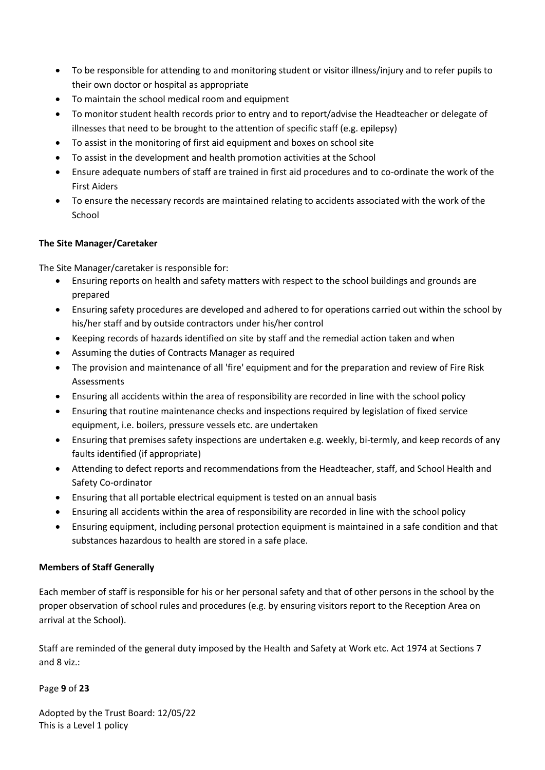- To be responsible for attending to and monitoring student or visitor illness/injury and to refer pupils to their own doctor or hospital as appropriate
- To maintain the school medical room and equipment
- To monitor student health records prior to entry and to report/advise the Headteacher or delegate of illnesses that need to be brought to the attention of specific staff (e.g. epilepsy)
- To assist in the monitoring of first aid equipment and boxes on school site
- To assist in the development and health promotion activities at the School
- Ensure adequate numbers of staff are trained in first aid procedures and to co-ordinate the work of the First Aiders
- To ensure the necessary records are maintained relating to accidents associated with the work of the School

# **The Site Manager/Caretaker**

The Site Manager/caretaker is responsible for:

- Ensuring reports on health and safety matters with respect to the school buildings and grounds are prepared
- Ensuring safety procedures are developed and adhered to for operations carried out within the school by his/her staff and by outside contractors under his/her control
- Keeping records of hazards identified on site by staff and the remedial action taken and when
- Assuming the duties of Contracts Manager as required
- The provision and maintenance of all 'fire' equipment and for the preparation and review of Fire Risk Assessments
- Ensuring all accidents within the area of responsibility are recorded in line with the school policy
- Ensuring that routine maintenance checks and inspections required by legislation of fixed service equipment, i.e. boilers, pressure vessels etc. are undertaken
- Ensuring that premises safety inspections are undertaken e.g. weekly, bi-termly, and keep records of any faults identified (if appropriate)
- Attending to defect reports and recommendations from the Headteacher, staff, and School Health and Safety Co-ordinator
- Ensuring that all portable electrical equipment is tested on an annual basis
- Ensuring all accidents within the area of responsibility are recorded in line with the school policy
- Ensuring equipment, including personal protection equipment is maintained in a safe condition and that substances hazardous to health are stored in a safe place.

# **Members of Staff Generally**

Each member of staff is responsible for his or her personal safety and that of other persons in the school by the proper observation of school rules and procedures (e.g. by ensuring visitors report to the Reception Area on arrival at the School).

Staff are reminded of the general duty imposed by the Health and Safety at Work etc. Act 1974 at Sections 7 and 8 viz.:

Page **9** of **23**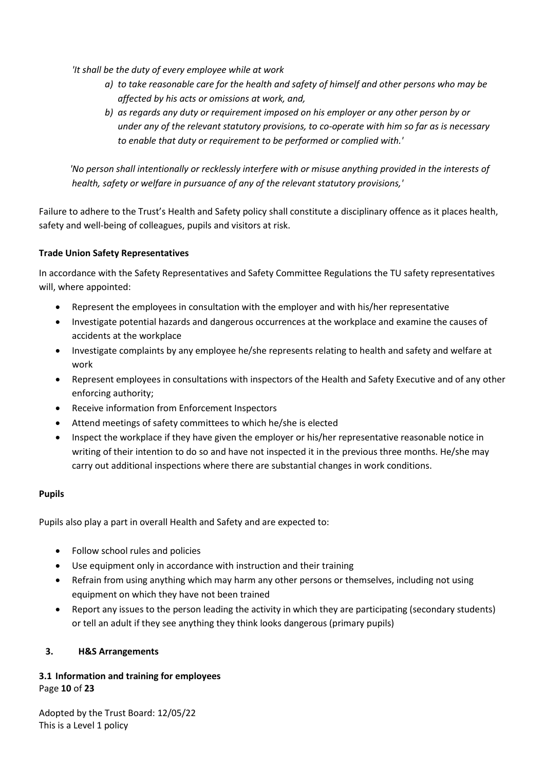*'It shall be the duty of every employee while at work*

- *a) to take reasonable care for the health and safety of himself and other persons who may be affected by his acts or omissions at work, and,*
- *b) as regards any duty or requirement imposed on his employer or any other person by or under any of the relevant statutory provisions, to co-operate with him so far as is necessary to enable that duty or requirement to be performed or complied with.'*

 *'No person shall intentionally or recklessly interfere with or misuse anything provided in the interests of health, safety or welfare in pursuance of any of the relevant statutory provisions,'*

Failure to adhere to the Trust's Health and Safety policy shall constitute a disciplinary offence as it places health, safety and well-being of colleagues, pupils and visitors at risk.

# **Trade Union Safety Representatives**

In accordance with the Safety Representatives and Safety Committee Regulations the TU safety representatives will, where appointed:

- Represent the employees in consultation with the employer and with his/her representative
- Investigate potential hazards and dangerous occurrences at the workplace and examine the causes of accidents at the workplace
- Investigate complaints by any employee he/she represents relating to health and safety and welfare at work
- Represent employees in consultations with inspectors of the Health and Safety Executive and of any other enforcing authority;
- Receive information from Enforcement Inspectors
- Attend meetings of safety committees to which he/she is elected
- Inspect the workplace if they have given the employer or his/her representative reasonable notice in writing of their intention to do so and have not inspected it in the previous three months. He/she may carry out additional inspections where there are substantial changes in work conditions.

# **Pupils**

Pupils also play a part in overall Health and Safety and are expected to:

- Follow school rules and policies
- Use equipment only in accordance with instruction and their training
- Refrain from using anything which may harm any other persons or themselves, including not using equipment on which they have not been trained
- Report any issues to the person leading the activity in which they are participating (secondary students) or tell an adult if they see anything they think looks dangerous (primary pupils)

# <span id="page-9-0"></span>**3. H&S Arrangements**

# <span id="page-9-1"></span>Page **10** of **23 3.1 Information and training for employees**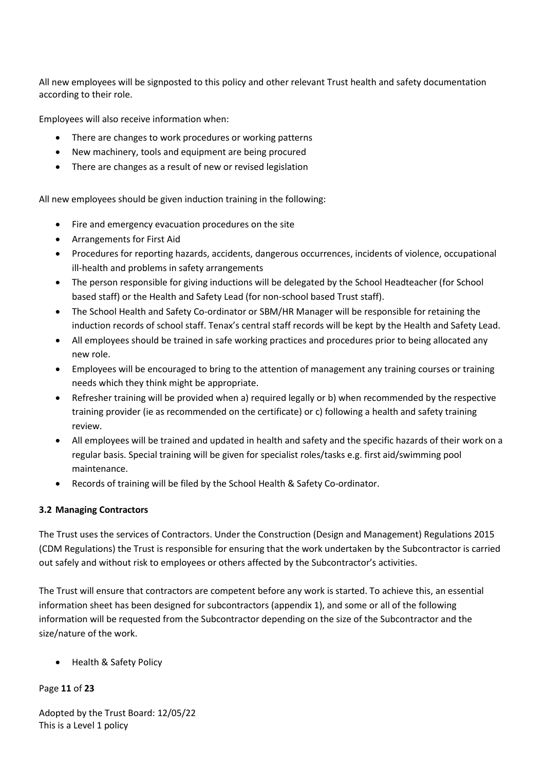All new employees will be signposted to this policy and other relevant Trust health and safety documentation according to their role.

Employees will also receive information when:

- There are changes to work procedures or working patterns
- New machinery, tools and equipment are being procured
- There are changes as a result of new or revised legislation

All new employees should be given induction training in the following:

- Fire and emergency evacuation procedures on the site
- Arrangements for First Aid
- Procedures for reporting hazards, accidents, dangerous occurrences, incidents of violence, occupational ill-health and problems in safety arrangements
- The person responsible for giving inductions will be delegated by the School Headteacher (for School based staff) or the Health and Safety Lead (for non-school based Trust staff).
- The School Health and Safety Co-ordinator or SBM/HR Manager will be responsible for retaining the induction records of school staff. Tenax's central staff records will be kept by the Health and Safety Lead.
- All employees should be trained in safe working practices and procedures prior to being allocated any new role.
- Employees will be encouraged to bring to the attention of management any training courses or training needs which they think might be appropriate.
- Refresher training will be provided when a) required legally or b) when recommended by the respective training provider (ie as recommended on the certificate) or c) following a health and safety training review.
- All employees will be trained and updated in health and safety and the specific hazards of their work on a regular basis. Special training will be given for specialist roles/tasks e.g. first aid/swimming pool maintenance.
- Records of training will be filed by the School Health & Safety Co-ordinator.

# <span id="page-10-0"></span>**3.2 Managing Contractors**

The Trust uses the services of Contractors. Under the Construction (Design and Management) Regulations 2015 (CDM Regulations) the Trust is responsible for ensuring that the work undertaken by the Subcontractor is carried out safely and without risk to employees or others affected by the Subcontractor's activities.

The Trust will ensure that contractors are competent before any work is started. To achieve this, an essential information sheet has been designed for subcontractors (appendix 1), and some or all of the following information will be requested from the Subcontractor depending on the size of the Subcontractor and the size/nature of the work.

• Health & Safety Policy

# Page **11** of **23**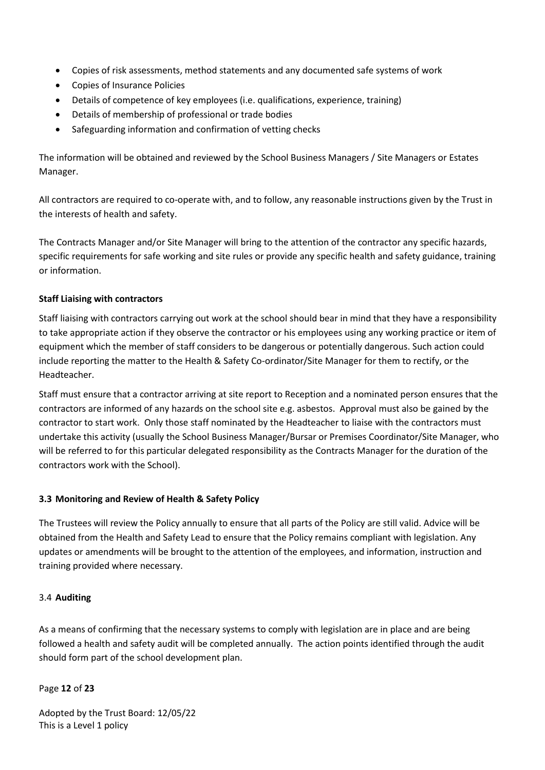- Copies of risk assessments, method statements and any documented safe systems of work
- Copies of Insurance Policies
- Details of competence of key employees (i.e. qualifications, experience, training)
- Details of membership of professional or trade bodies
- Safeguarding information and confirmation of vetting checks

The information will be obtained and reviewed by the School Business Managers / Site Managers or Estates Manager.

All contractors are required to co-operate with, and to follow, any reasonable instructions given by the Trust in the interests of health and safety.

The Contracts Manager and/or Site Manager will bring to the attention of the contractor any specific hazards, specific requirements for safe working and site rules or provide any specific health and safety guidance, training or information.

## **Staff Liaising with contractors**

Staff liaising with contractors carrying out work at the school should bear in mind that they have a responsibility to take appropriate action if they observe the contractor or his employees using any working practice or item of equipment which the member of staff considers to be dangerous or potentially dangerous. Such action could include reporting the matter to the Health & Safety Co-ordinator/Site Manager for them to rectify, or the Headteacher.

Staff must ensure that a contractor arriving at site report to Reception and a nominated person ensures that the contractors are informed of any hazards on the school site e.g. asbestos. Approval must also be gained by the contractor to start work. Only those staff nominated by the Headteacher to liaise with the contractors must undertake this activity (usually the School Business Manager/Bursar or Premises Coordinator/Site Manager, who will be referred to for this particular delegated responsibility as the Contracts Manager for the duration of the contractors work with the School).

## <span id="page-11-0"></span>**3.3 Monitoring and Review of Health & Safety Policy**

The Trustees will review the Policy annually to ensure that all parts of the Policy are still valid. Advice will be obtained from the Health and Safety Lead to ensure that the Policy remains compliant with legislation. Any updates or amendments will be brought to the attention of the employees, and information, instruction and training provided where necessary.

## <span id="page-11-1"></span>3.4 **Auditing**

As a means of confirming that the necessary systems to comply with legislation are in place and are being followed a health and safety audit will be completed annually. The action points identified through the audit should form part of the school development plan.

## Page **12** of **23**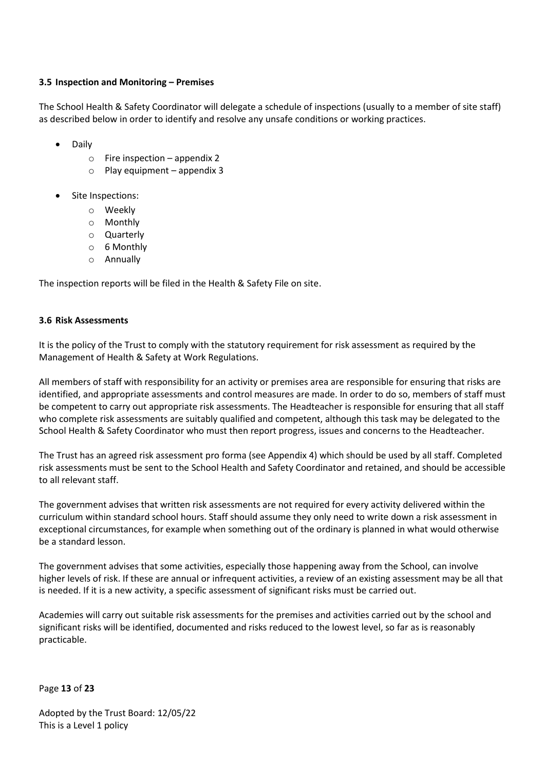## <span id="page-12-0"></span>**3.5 Inspection and Monitoring – Premises**

The School Health & Safety Coordinator will delegate a schedule of inspections (usually to a member of site staff) as described below in order to identify and resolve any unsafe conditions or working practices.

- Daily
	- $\circ$  Fire inspection appendix 2
	- $\circ$  Play equipment appendix 3
- Site Inspections:
	- o Weekly
	- o Monthly
	- o Quarterly
	- o 6 Monthly
	- o Annually

The inspection reports will be filed in the Health & Safety File on site.

# <span id="page-12-1"></span>**3.6 Risk Assessments**

It is the policy of the Trust to comply with the statutory requirement for risk assessment as required by the Management of Health & Safety at Work Regulations.

All members of staff with responsibility for an activity or premises area are responsible for ensuring that risks are identified, and appropriate assessments and control measures are made. In order to do so, members of staff must be competent to carry out appropriate risk assessments. The Headteacher is responsible for ensuring that all staff who complete risk assessments are suitably qualified and competent, although this task may be delegated to the School Health & Safety Coordinator who must then report progress, issues and concerns to the Headteacher.

The Trust has an agreed risk assessment pro forma (see Appendix 4) which should be used by all staff. Completed risk assessments must be sent to the School Health and Safety Coordinator and retained, and should be accessible to all relevant staff.

The government advises that written risk assessments are not required for every activity delivered within the curriculum within standard school hours. Staff should assume they only need to write down a risk assessment in exceptional circumstances, for example when something out of the ordinary is planned in what would otherwise be a standard lesson.

The government advises that some activities, especially those happening away from the School, can involve higher levels of risk. If these are annual or infrequent activities, a review of an existing assessment may be all that is needed. If it is a new activity, a specific assessment of significant risks must be carried out.

Academies will carry out suitable risk assessments for the premises and activities carried out by the school and significant risks will be identified, documented and risks reduced to the lowest level, so far as is reasonably practicable.

Page **13** of **23**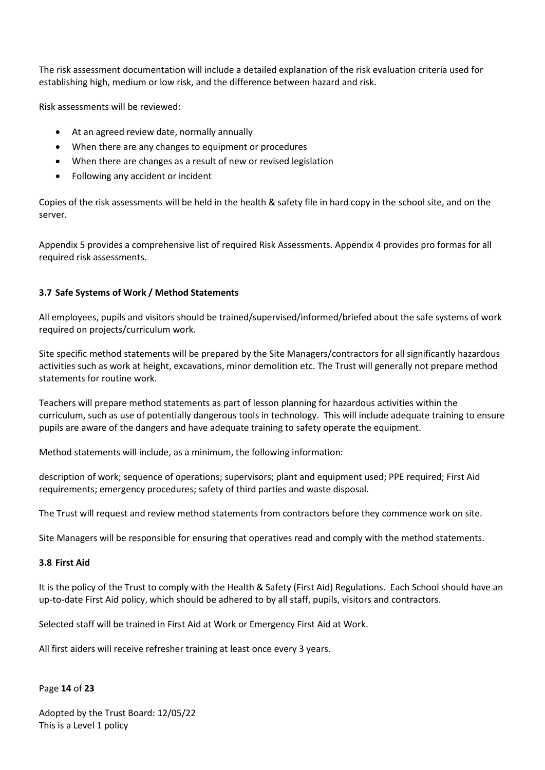The risk assessment documentation will include a detailed explanation of the risk evaluation criteria used for establishing high, medium or low risk, and the difference between hazard and risk.

Risk assessments will be reviewed:

- At an agreed review date, normally annually
- When there are any changes to equipment or procedures
- When there are changes as a result of new or revised legislation
- Following any accident or incident

Copies of the risk assessments will be held in the health & safety file in hard copy in the school site, and on the server.

Appendix 5 provides a comprehensive list of required Risk Assessments. Appendix 4 provides pro formas for all required risk assessments.

## <span id="page-13-0"></span>**3.7 Safe Systems of Work / Method Statements**

All employees, pupils and visitors should be trained/supervised/informed/briefed about the safe systems of work required on projects/curriculum work.

Site specific method statements will be prepared by the Site Managers/contractors for all significantly hazardous activities such as work at height, excavations, minor demolition etc. The Trust will generally not prepare method statements for routine work.

Teachers will prepare method statements as part of lesson planning for hazardous activities within the curriculum, such as use of potentially dangerous tools in technology. This will include adequate training to ensure pupils are aware of the dangers and have adequate training to safety operate the equipment.

Method statements will include, as a minimum, the following information:

description of work; sequence of operations; supervisors; plant and equipment used; PPE required; First Aid requirements; emergency procedures; safety of third parties and waste disposal.

The Trust will request and review method statements from contractors before they commence work on site.

Site Managers will be responsible for ensuring that operatives read and comply with the method statements.

#### <span id="page-13-1"></span>**3.8 First Aid**

It is the policy of the Trust to comply with the Health & Safety (First Aid) Regulations. Each School should have an up-to-date First Aid policy, which should be adhered to by all staff, pupils, visitors and contractors.

Selected staff will be trained in First Aid at Work or Emergency First Aid at Work.

All first aiders will receive refresher training at least once every 3 years.

#### Page **14** of **23**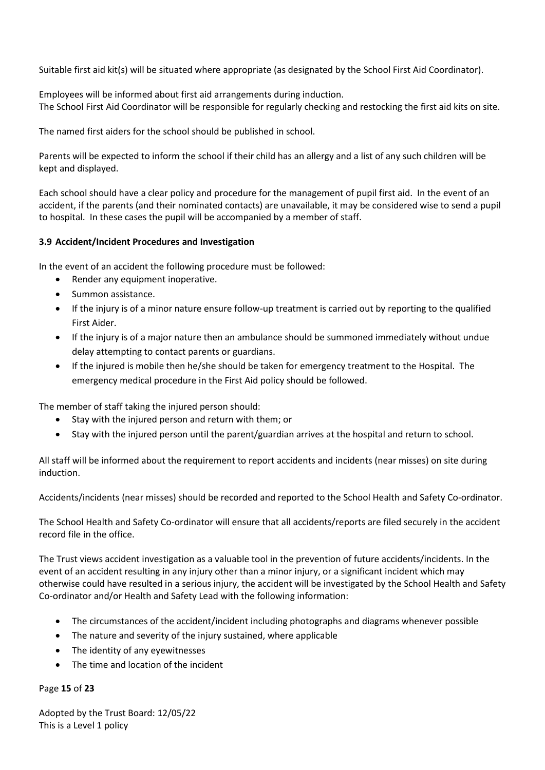Suitable first aid kit(s) will be situated where appropriate (as designated by the School First Aid Coordinator).

Employees will be informed about first aid arrangements during induction. The School First Aid Coordinator will be responsible for regularly checking and restocking the first aid kits on site.

The named first aiders for the school should be published in school.

Parents will be expected to inform the school if their child has an allergy and a list of any such children will be kept and displayed.

Each school should have a clear policy and procedure for the management of pupil first aid. In the event of an accident, if the parents (and their nominated contacts) are unavailable, it may be considered wise to send a pupil to hospital. In these cases the pupil will be accompanied by a member of staff.

## <span id="page-14-0"></span>**3.9 Accident/Incident Procedures and Investigation**

In the event of an accident the following procedure must be followed:

- Render any equipment inoperative.
- Summon assistance.
- If the injury is of a minor nature ensure follow-up treatment is carried out by reporting to the qualified First Aider.
- If the injury is of a major nature then an ambulance should be summoned immediately without undue delay attempting to contact parents or guardians.
- If the injured is mobile then he/she should be taken for emergency treatment to the Hospital. The emergency medical procedure in the First Aid policy should be followed.

The member of staff taking the injured person should:

- Stay with the injured person and return with them; or
- Stay with the injured person until the parent/guardian arrives at the hospital and return to school.

All staff will be informed about the requirement to report accidents and incidents (near misses) on site during induction.

Accidents/incidents (near misses) should be recorded and reported to the School Health and Safety Co-ordinator.

The School Health and Safety Co-ordinator will ensure that all accidents/reports are filed securely in the accident record file in the office.

The Trust views accident investigation as a valuable tool in the prevention of future accidents/incidents. In the event of an accident resulting in any injury other than a minor injury, or a significant incident which may otherwise could have resulted in a serious injury, the accident will be investigated by the School Health and Safety Co-ordinator and/or Health and Safety Lead with the following information:

- The circumstances of the accident/incident including photographs and diagrams whenever possible
- The nature and severity of the injury sustained, where applicable
- The identity of any eyewitnesses
- The time and location of the incident

Page **15** of **23**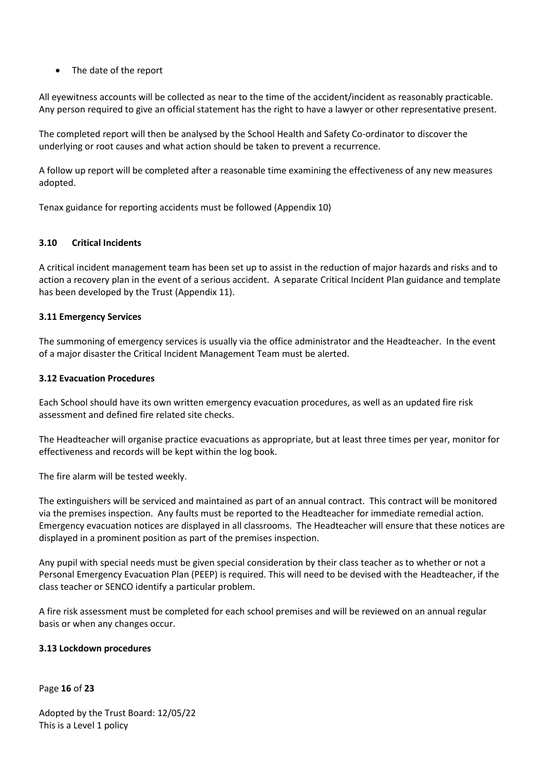# • The date of the report

All eyewitness accounts will be collected as near to the time of the accident/incident as reasonably practicable. Any person required to give an official statement has the right to have a lawyer or other representative present.

The completed report will then be analysed by the School Health and Safety Co-ordinator to discover the underlying or root causes and what action should be taken to prevent a recurrence.

A follow up report will be completed after a reasonable time examining the effectiveness of any new measures adopted.

Tenax guidance for reporting accidents must be followed (Appendix 10)

# <span id="page-15-0"></span>**3.10 Critical Incidents**

A critical incident management team has been set up to assist in the reduction of major hazards and risks and to action a recovery plan in the event of a serious accident. A separate Critical Incident Plan guidance and template has been developed by the Trust (Appendix 11).

## <span id="page-15-1"></span>**3.11 Emergency Services**

The summoning of emergency services is usually via the office administrator and the Headteacher. In the event of a major disaster the Critical Incident Management Team must be alerted.

## <span id="page-15-2"></span>**3.12 Evacuation Procedures**

Each School should have its own written emergency evacuation procedures, as well as an updated fire risk assessment and defined fire related site checks.

The Headteacher will organise practice evacuations as appropriate, but at least three times per year, monitor for effectiveness and records will be kept within the log book.

The fire alarm will be tested weekly.

The extinguishers will be serviced and maintained as part of an annual contract. This contract will be monitored via the premises inspection. Any faults must be reported to the Headteacher for immediate remedial action. Emergency evacuation notices are displayed in all classrooms. The Headteacher will ensure that these notices are displayed in a prominent position as part of the premises inspection.

Any pupil with special needs must be given special consideration by their class teacher as to whether or not a Personal Emergency Evacuation Plan (PEEP) is required. This will need to be devised with the Headteacher, if the class teacher or SENCO identify a particular problem.

A fire risk assessment must be completed for each school premises and will be reviewed on an annual regular basis or when any changes occur.

## <span id="page-15-3"></span>**3.13 Lockdown procedures**

Page **16** of **23**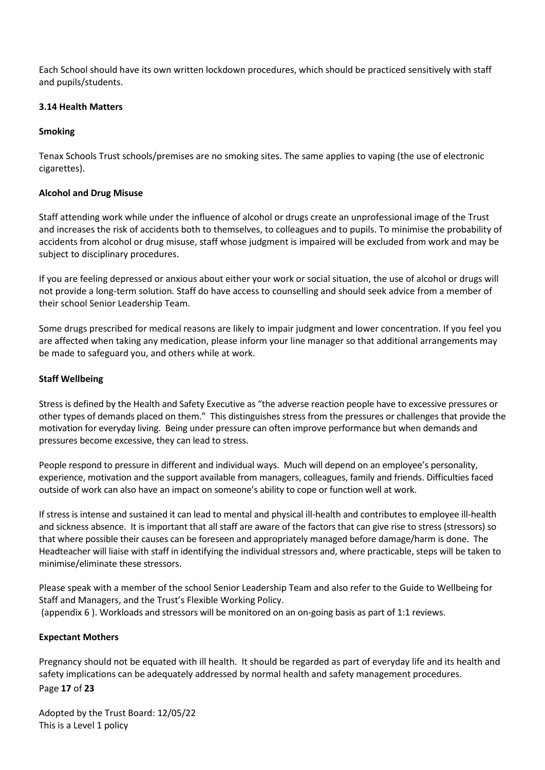Each School should have its own written lockdown procedures, which should be practiced sensitively with staff and pupils/students.

## <span id="page-16-0"></span>**3.14 Health Matters**

## **Smoking**

Tenax Schools Trust schools/premises are no smoking sites. The same applies to vaping (the use of electronic cigarettes).

## **Alcohol and Drug Misuse**

Staff attending work while under the influence of alcohol or drugs create an unprofessional image of the Trust and increases the risk of accidents both to themselves, to colleagues and to pupils. To minimise the probability of accidents from alcohol or drug misuse, staff whose judgment is impaired will be excluded from work and may be subject to disciplinary procedures.

If you are feeling depressed or anxious about either your work or social situation, the use of alcohol or drugs will not provide a long-term solution*.* Staff do have access to counselling and should seek advice from a member of their school Senior Leadership Team.

Some drugs prescribed for medical reasons are likely to impair judgment and lower concentration. If you feel you are affected when taking any medication, please inform your line manager so that additional arrangements may be made to safeguard you, and others while at work.

## **Staff Wellbeing**

Stress is defined by the Health and Safety Executive as "the adverse reaction people have to excessive pressures or other types of demands placed on them." This distinguishes stress from the pressures or challenges that provide the motivation for everyday living. Being under pressure can often improve performance but when demands and pressures become excessive, they can lead to stress.

People respond to pressure in different and individual ways. Much will depend on an employee's personality, experience, motivation and the support available from managers, colleagues, family and friends. Difficulties faced outside of work can also have an impact on someone's ability to cope or function well at work.

If stress is intense and sustained it can lead to mental and physical ill-health and contributes to employee ill-health and sickness absence. It is important that all staff are aware of the factors that can give rise to stress (stressors) so that where possible their causes can be foreseen and appropriately managed before damage/harm is done. The Headteacher will liaise with staff in identifying the individual stressors and, where practicable, steps will be taken to minimise/eliminate these stressors.

Please speak with a member of the school Senior Leadership Team and also refer to the Guide to Wellbeing for Staff and Managers, and the Trust's Flexible Working Policy. (appendix 6 ). Workloads and stressors will be monitored on an on-going basis as part of 1:1 reviews.

## **Expectant Mothers**

Page **17** of **23** Pregnancy should not be equated with ill health. It should be regarded as part of everyday life and its health and safety implications can be adequately addressed by normal health and safety management procedures.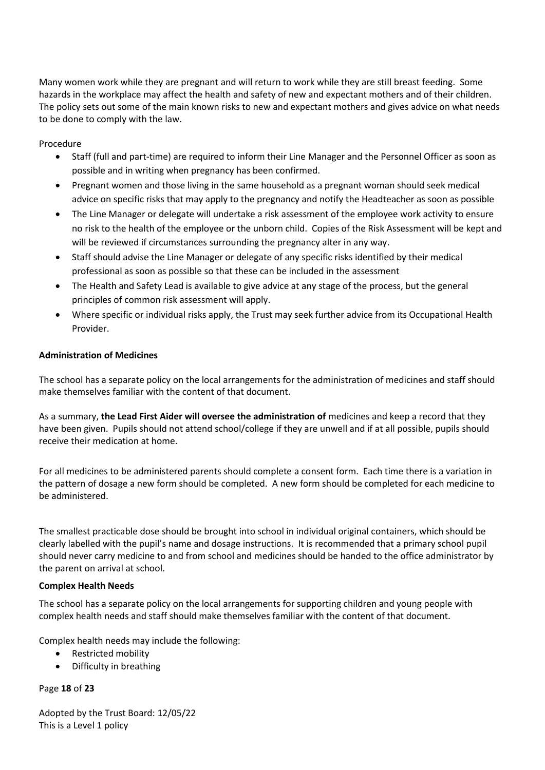Many women work while they are pregnant and will return to work while they are still breast feeding. Some hazards in the workplace may affect the health and safety of new and expectant mothers and of their children. The policy sets out some of the main known risks to new and expectant mothers and gives advice on what needs to be done to comply with the law.

Procedure

- Staff (full and part-time) are required to inform their Line Manager and the Personnel Officer as soon as possible and in writing when pregnancy has been confirmed.
- Pregnant women and those living in the same household as a pregnant woman should seek medical advice on specific risks that may apply to the pregnancy and notify the Headteacher as soon as possible
- The Line Manager or delegate will undertake a risk assessment of the employee work activity to ensure no risk to the health of the employee or the unborn child. Copies of the Risk Assessment will be kept and will be reviewed if circumstances surrounding the pregnancy alter in any way.
- Staff should advise the Line Manager or delegate of any specific risks identified by their medical professional as soon as possible so that these can be included in the assessment
- The Health and Safety Lead is available to give advice at any stage of the process, but the general principles of common risk assessment will apply.
- Where specific or individual risks apply, the Trust may seek further advice from its Occupational Health Provider.

# **Administration of Medicines**

The school has a separate policy on the local arrangements for the administration of medicines and staff should make themselves familiar with the content of that document.

As a summary, **the Lead First Aider will oversee the administration of** medicines and keep a record that they have been given. Pupils should not attend school/college if they are unwell and if at all possible, pupils should receive their medication at home.

For all medicines to be administered parents should complete a consent form. Each time there is a variation in the pattern of dosage a new form should be completed. A new form should be completed for each medicine to be administered.

The smallest practicable dose should be brought into school in individual original containers, which should be clearly labelled with the pupil's name and dosage instructions. It is recommended that a primary school pupil should never carry medicine to and from school and medicines should be handed to the office administrator by the parent on arrival at school.

# **Complex Health Needs**

The school has a separate policy on the local arrangements for supporting children and young people with complex health needs and staff should make themselves familiar with the content of that document.

Complex health needs may include the following:

- Restricted mobility
- Difficulty in breathing

# Page **18** of **23**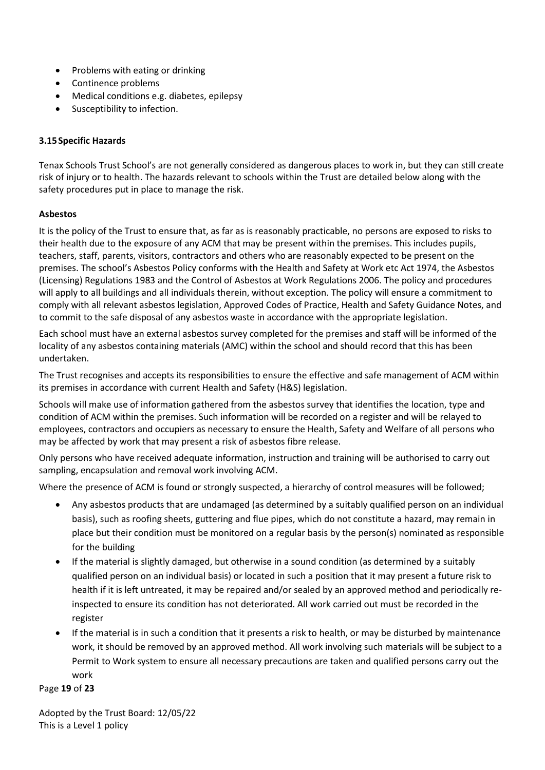- Problems with eating or drinking
- Continence problems
- Medical conditions e.g. diabetes, epilepsy
- Susceptibility to infection.

# <span id="page-18-0"></span>**3.15Specific Hazards**

Tenax Schools Trust School's are not generally considered as dangerous places to work in, but they can still create risk of injury or to health. The hazards relevant to schools within the Trust are detailed below along with the safety procedures put in place to manage the risk.

# **Asbestos**

It is the policy of the Trust to ensure that, as far as is reasonably practicable, no persons are exposed to risks to their health due to the exposure of any ACM that may be present within the premises. This includes pupils, teachers, staff, parents, visitors, contractors and others who are reasonably expected to be present on the premises. The school's Asbestos Policy conforms with the Health and Safety at Work etc Act 1974, the Asbestos (Licensing) Regulations 1983 and the Control of Asbestos at Work Regulations 2006. The policy and procedures will apply to all buildings and all individuals therein, without exception. The policy will ensure a commitment to comply with all relevant asbestos legislation, Approved Codes of Practice, Health and Safety Guidance Notes, and to commit to the safe disposal of any asbestos waste in accordance with the appropriate legislation.

Each school must have an external asbestos survey completed for the premises and staff will be informed of the locality of any asbestos containing materials (AMC) within the school and should record that this has been undertaken.

The Trust recognises and accepts its responsibilities to ensure the effective and safe management of ACM within its premises in accordance with current Health and Safety (H&S) legislation.

Schools will make use of information gathered from the asbestos survey that identifies the location, type and condition of ACM within the premises. Such information will be recorded on a register and will be relayed to employees, contractors and occupiers as necessary to ensure the Health, Safety and Welfare of all persons who may be affected by work that may present a risk of asbestos fibre release.

Only persons who have received adequate information, instruction and training will be authorised to carry out sampling, encapsulation and removal work involving ACM.

Where the presence of ACM is found or strongly suspected, a hierarchy of control measures will be followed;

- Any asbestos products that are undamaged (as determined by a suitably qualified person on an individual basis), such as roofing sheets, guttering and flue pipes, which do not constitute a hazard, may remain in place but their condition must be monitored on a regular basis by the person(s) nominated as responsible for the building
- If the material is slightly damaged, but otherwise in a sound condition (as determined by a suitably qualified person on an individual basis) or located in such a position that it may present a future risk to health if it is left untreated, it may be repaired and/or sealed by an approved method and periodically reinspected to ensure its condition has not deteriorated. All work carried out must be recorded in the register
- If the material is in such a condition that it presents a risk to health, or may be disturbed by maintenance work, it should be removed by an approved method. All work involving such materials will be subject to a Permit to Work system to ensure all necessary precautions are taken and qualified persons carry out the work

Page **19** of **23**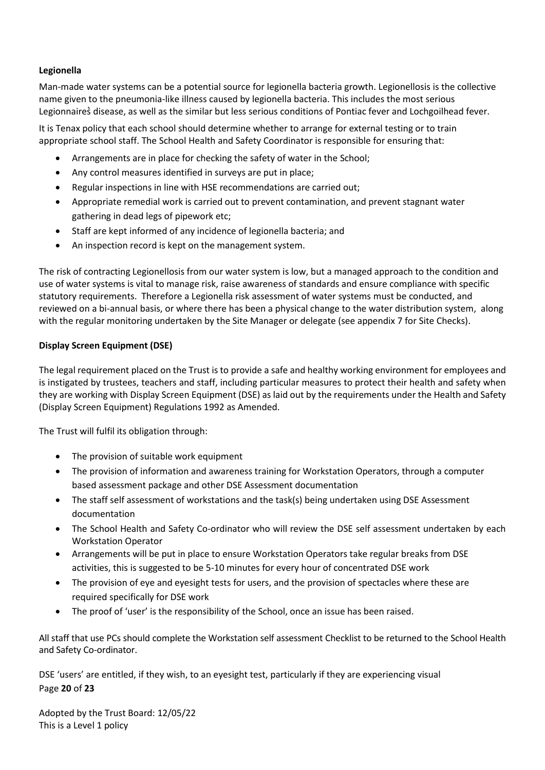# **Legionella**

Man-made water systems can be a potential source for legionella bacteria growth. Legionellosis is the collective name given to the pneumonia-like illness caused by legionella bacteria. This includes the most serious Legionnaires disease, as well as the similar but less serious conditions of Pontiac fever and Lochgoilhead fever.

It is Tenax policy that each school should determine whether to arrange for external testing or to train appropriate school staff. The School Health and Safety Coordinator is responsible for ensuring that:

- Arrangements are in place for checking the safety of water in the School;
- Any control measures identified in surveys are put in place;
- Regular inspections in line with HSE recommendations are carried out;
- Appropriate remedial work is carried out to prevent contamination, and prevent stagnant water gathering in dead legs of pipework etc;
- Staff are kept informed of any incidence of legionella bacteria; and
- An inspection record is kept on the management system.

The risk of contracting Legionellosis from our water system is low, but a managed approach to the condition and use of water systems is vital to manage risk, raise awareness of standards and ensure compliance with specific statutory requirements. Therefore a Legionella risk assessment of water systems must be conducted, and reviewed on a bi-annual basis, or where there has been a physical change to the water distribution system, along with the regular monitoring undertaken by the Site Manager or delegate (see appendix 7 for Site Checks).

# **Display Screen Equipment (DSE)**

The legal requirement placed on the Trust is to provide a safe and healthy working environment for employees and is instigated by trustees, teachers and staff, including particular measures to protect their health and safety when they are working with Display Screen Equipment (DSE) as laid out by the requirements under the Health and Safety (Display Screen Equipment) Regulations 1992 as Amended.

The Trust will fulfil its obligation through:

- The provision of suitable work equipment
- The provision of information and awareness training for Workstation Operators, through a computer based assessment package and other DSE Assessment documentation
- The staff self assessment of workstations and the task(s) being undertaken using DSE Assessment documentation
- The School Health and Safety Co-ordinator who will review the DSE self assessment undertaken by each Workstation Operator
- Arrangements will be put in place to ensure Workstation Operators take regular breaks from DSE activities, this is suggested to be 5-10 minutes for every hour of concentrated DSE work
- The provision of eye and eyesight tests for users, and the provision of spectacles where these are required specifically for DSE work
- The proof of 'user' is the responsibility of the School, once an issue has been raised.

All staff that use PCs should complete the Workstation self assessment Checklist to be returned to the School Health and Safety Co-ordinator.

Page **20** of **23** DSE 'users' are entitled, if they wish, to an eyesight test, particularly if they are experiencing visual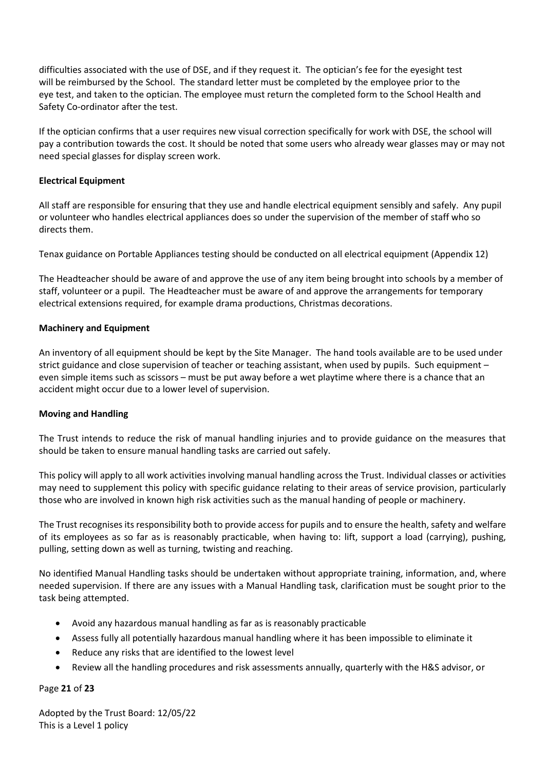difficulties associated with the use of DSE, and if they request it. The optician's fee for the eyesight test will be reimbursed by the School. The standard letter must be completed by the employee prior to the eye test, and taken to the optician. The employee must return the completed form to the School Health and Safety Co-ordinator after the test.

If the optician confirms that a user requires new visual correction specifically for work with DSE, the school will pay a contribution towards the cost. It should be noted that some users who already wear glasses may or may not need special glasses for display screen work.

# **Electrical Equipment**

All staff are responsible for ensuring that they use and handle electrical equipment sensibly and safely. Any pupil or volunteer who handles electrical appliances does so under the supervision of the member of staff who so directs them.

Tenax guidance on Portable Appliances testing should be conducted on all electrical equipment (Appendix 12)

The Headteacher should be aware of and approve the use of any item being brought into schools by a member of staff, volunteer or a pupil. The Headteacher must be aware of and approve the arrangements for temporary electrical extensions required, for example drama productions, Christmas decorations.

## **Machinery and Equipment**

An inventory of all equipment should be kept by the Site Manager. The hand tools available are to be used under strict guidance and close supervision of teacher or teaching assistant, when used by pupils. Such equipment – even simple items such as scissors – must be put away before a wet playtime where there is a chance that an accident might occur due to a lower level of supervision.

# **Moving and Handling**

The Trust intends to reduce the risk of manual handling injuries and to provide guidance on the measures that should be taken to ensure manual handling tasks are carried out safely.

This policy will apply to all work activities involving manual handling across the Trust. Individual classes or activities may need to supplement this policy with specific guidance relating to their areas of service provision, particularly those who are involved in known high risk activities such as the manual handing of people or machinery.

The Trust recognises its responsibility both to provide access for pupils and to ensure the health, safety and welfare of its employees as so far as is reasonably practicable, when having to: lift, support a load (carrying), pushing, pulling, setting down as well as turning, twisting and reaching.

No identified Manual Handling tasks should be undertaken without appropriate training, information, and, where needed supervision. If there are any issues with a Manual Handling task, clarification must be sought prior to the task being attempted.

- Avoid any hazardous manual handling as far as is reasonably practicable
- Assess fully all potentially hazardous manual handling where it has been impossible to eliminate it
- Reduce any risks that are identified to the lowest level
- Review all the handling procedures and risk assessments annually, quarterly with the H&S advisor, or

## Page **21** of **23**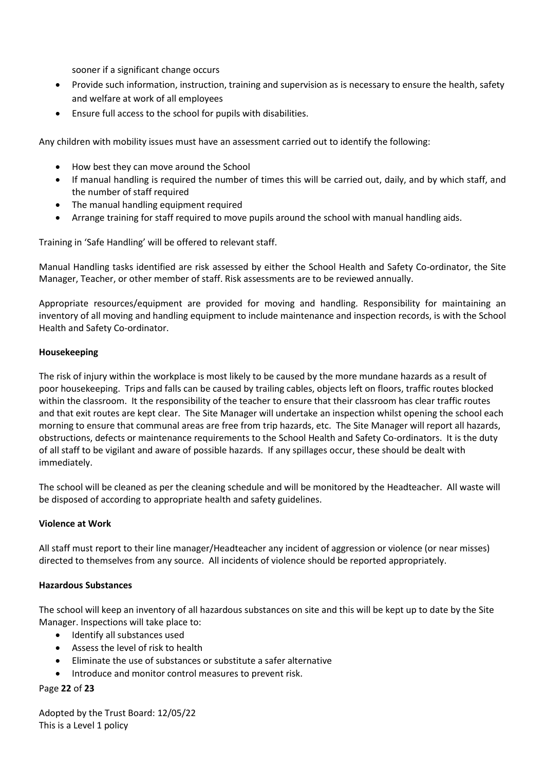sooner if a significant change occurs

- Provide such information, instruction, training and supervision as is necessary to ensure the health, safety and welfare at work of all employees
- Ensure full access to the school for pupils with disabilities.

Any children with mobility issues must have an assessment carried out to identify the following:

- How best they can move around the School
- If manual handling is required the number of times this will be carried out, daily, and by which staff, and the number of staff required
- The manual handling equipment required
- Arrange training for staff required to move pupils around the school with manual handling aids.

Training in 'Safe Handling' will be offered to relevant staff.

Manual Handling tasks identified are risk assessed by either the School Health and Safety Co-ordinator, the Site Manager, Teacher, or other member of staff. Risk assessments are to be reviewed annually.

Appropriate resources/equipment are provided for moving and handling. Responsibility for maintaining an inventory of all moving and handling equipment to include maintenance and inspection records, is with the School Health and Safety Co-ordinator.

## **Housekeeping**

The risk of injury within the workplace is most likely to be caused by the more mundane hazards as a result of poor housekeeping. Trips and falls can be caused by trailing cables, objects left on floors, traffic routes blocked within the classroom. It the responsibility of the teacher to ensure that their classroom has clear traffic routes and that exit routes are kept clear. The Site Manager will undertake an inspection whilst opening the school each morning to ensure that communal areas are free from trip hazards, etc. The Site Manager will report all hazards, obstructions, defects or maintenance requirements to the School Health and Safety Co-ordinators. It is the duty of all staff to be vigilant and aware of possible hazards. If any spillages occur, these should be dealt with immediately.

The school will be cleaned as per the cleaning schedule and will be monitored by the Headteacher. All waste will be disposed of according to appropriate health and safety guidelines.

# **Violence at Work**

All staff must report to their line manager/Headteacher any incident of aggression or violence (or near misses) directed to themselves from any source. All incidents of violence should be reported appropriately.

# **Hazardous Substances**

The school will keep an inventory of all hazardous substances on site and this will be kept up to date by the Site Manager. Inspections will take place to:

- Identify all substances used
- Assess the level of risk to health
- Eliminate the use of substances or substitute a safer alternative
- Introduce and monitor control measures to prevent risk.

# Page **22** of **23**